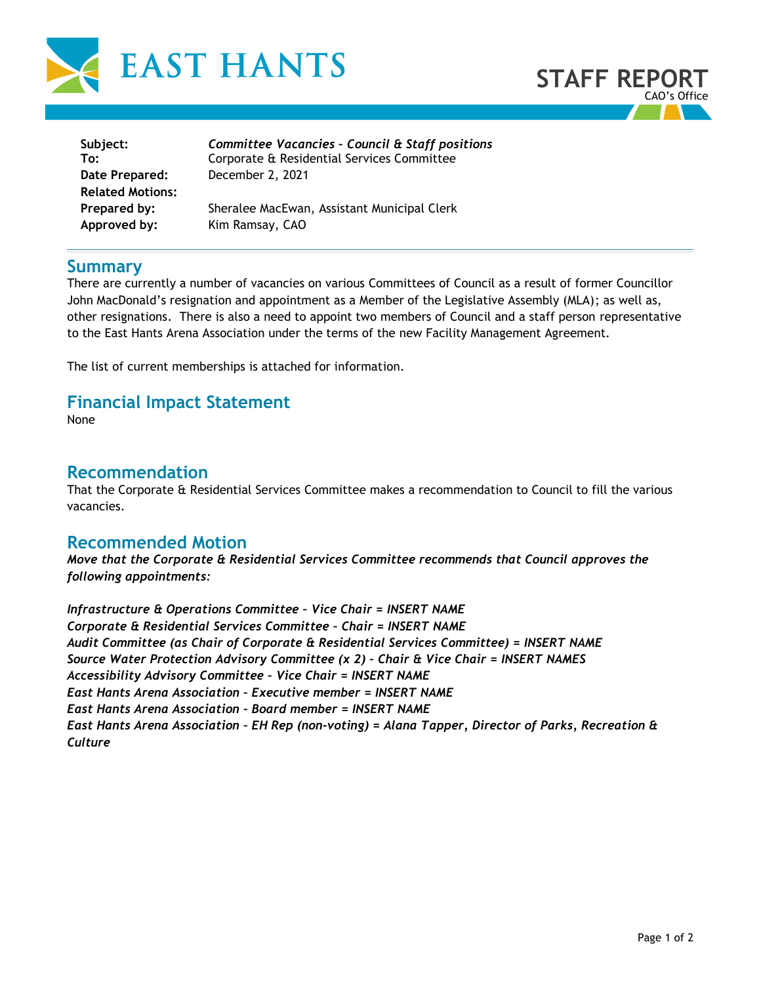



| Subject:                | Committee Vacancies - Council & Staff positions |
|-------------------------|-------------------------------------------------|
| To:                     | Corporate & Residential Services Committee      |
| Date Prepared:          | December 2, 2021                                |
| <b>Related Motions:</b> |                                                 |
| Prepared by:            | Sheralee MacEwan, Assistant Municipal Clerk     |
| Approved by:            | Kim Ramsay, CAO                                 |

## **Summary**

There are currently a number of vacancies on various Committees of Council as a result of former Councillor John MacDonald's resignation and appointment as a Member of the Legislative Assembly (MLA); as well as, other resignations. There is also a need to appoint two members of Council and a staff person representative to the East Hants Arena Association under the terms of the new Facility Management Agreement.

The list of current memberships is attached for information.

## **Financial Impact Statement**

None

## **Recommendation**

That the Corporate & Residential Services Committee makes a recommendation to Council to fill the various vacancies.

## **Recommended Motion**

*Move that the Corporate & Residential Services Committee recommends that Council approves the following appointments:* 

*Infrastructure & Operations Committee – Vice Chair = INSERT NAME Corporate & Residential Services Committee – Chair = INSERT NAME Audit Committee (as Chair of Corporate & Residential Services Committee) = INSERT NAME Source Water Protection Advisory Committee (x 2) – Chair & Vice Chair = INSERT NAMES Accessibility Advisory Committee – Vice Chair = INSERT NAME East Hants Arena Association – Executive member = INSERT NAME East Hants Arena Association – Board member = INSERT NAME East Hants Arena Association – EH Rep (non-voting) = Alana Tapper, Director of Parks, Recreation & Culture*